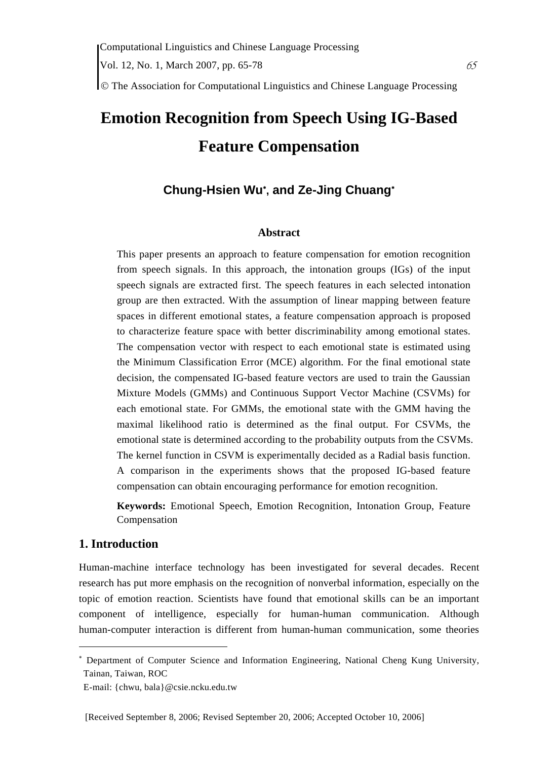© The Association for Computational Linguistics and Chinese Language Processing

# **Emotion Recognition from Speech Using IG-Based Feature Compensation**

# **Chung-Hsien Wu**<sup>∗</sup> **, and Ze-Jing Chuang**<sup>∗</sup>

### **Abstract**

This paper presents an approach to feature compensation for emotion recognition from speech signals. In this approach, the intonation groups (IGs) of the input speech signals are extracted first. The speech features in each selected intonation group are then extracted. With the assumption of linear mapping between feature spaces in different emotional states, a feature compensation approach is proposed to characterize feature space with better discriminability among emotional states. The compensation vector with respect to each emotional state is estimated using the Minimum Classification Error (MCE) algorithm. For the final emotional state decision, the compensated IG-based feature vectors are used to train the Gaussian Mixture Models (GMMs) and Continuous Support Vector Machine (CSVMs) for each emotional state. For GMMs, the emotional state with the GMM having the maximal likelihood ratio is determined as the final output. For CSVMs, the emotional state is determined according to the probability outputs from the CSVMs. The kernel function in CSVM is experimentally decided as a Radial basis function. A comparison in the experiments shows that the proposed IG-based feature compensation can obtain encouraging performance for emotion recognition.

**Keywords:** Emotional Speech, Emotion Recognition, Intonation Group, Feature Compensation

## **1. Introduction**

 $\overline{a}$ 

Human-machine interface technology has been investigated for several decades. Recent research has put more emphasis on the recognition of nonverbal information, especially on the topic of emotion reaction. Scientists have found that emotional skills can be an important component of intelligence, especially for human-human communication. Although human-computer interaction is different from human-human communication, some theories

<sup>∗</sup> Department of Computer Science and Information Engineering, National Cheng Kung University, Tainan, Taiwan, ROC

E-mail: {chwu, bala}@csie.ncku.edu.tw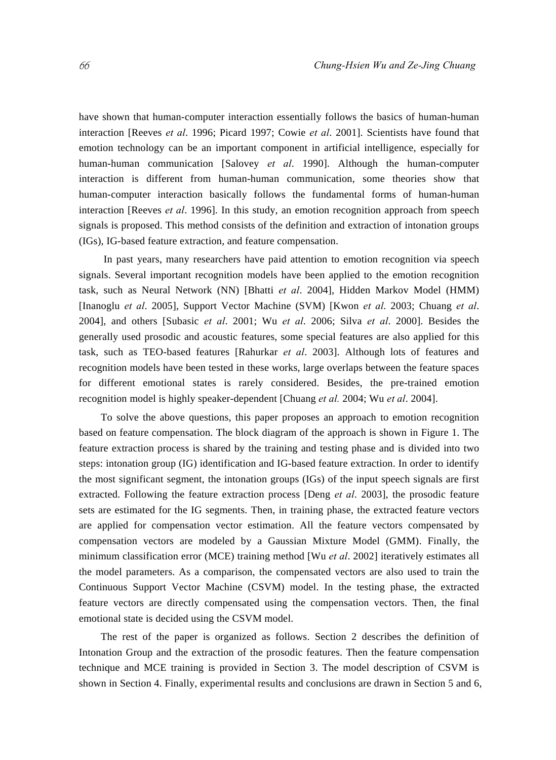have shown that human-computer interaction essentially follows the basics of human-human interaction [Reeves *et al*. 1996; Picard 1997; Cowie *et al*. 2001]. Scientists have found that emotion technology can be an important component in artificial intelligence, especially for human-human communication [Salovey *et al*. 1990]. Although the human-computer interaction is different from human-human communication, some theories show that human-computer interaction basically follows the fundamental forms of human-human interaction [Reeves *et al*. 1996]. In this study, an emotion recognition approach from speech signals is proposed. This method consists of the definition and extraction of intonation groups (IGs), IG-based feature extraction, and feature compensation.

 In past years, many researchers have paid attention to emotion recognition via speech signals. Several important recognition models have been applied to the emotion recognition task, such as Neural Network (NN) [Bhatti *et al*. 2004], Hidden Markov Model (HMM) [Inanoglu *et al*. 2005], Support Vector Machine (SVM) [Kwon *et al*. 2003; Chuang *et al*. 2004], and others [Subasic *et al*. 2001; Wu *et al*. 2006; Silva *et al*. 2000]. Besides the generally used prosodic and acoustic features, some special features are also applied for this task, such as TEO-based features [Rahurkar *et al*. 2003]. Although lots of features and recognition models have been tested in these works, large overlaps between the feature spaces for different emotional states is rarely considered. Besides, the pre-trained emotion recognition model is highly speaker-dependent [Chuang *et al.* 2004; Wu *et al*. 2004].

To solve the above questions, this paper proposes an approach to emotion recognition based on feature compensation. The block diagram of the approach is shown in Figure 1. The feature extraction process is shared by the training and testing phase and is divided into two steps: intonation group (IG) identification and IG-based feature extraction. In order to identify the most significant segment, the intonation groups (IGs) of the input speech signals are first extracted. Following the feature extraction process [Deng *et al*. 2003], the prosodic feature sets are estimated for the IG segments. Then, in training phase, the extracted feature vectors are applied for compensation vector estimation. All the feature vectors compensated by compensation vectors are modeled by a Gaussian Mixture Model (GMM). Finally, the minimum classification error (MCE) training method [Wu *et al*. 2002] iteratively estimates all the model parameters. As a comparison, the compensated vectors are also used to train the Continuous Support Vector Machine (CSVM) model. In the testing phase, the extracted feature vectors are directly compensated using the compensation vectors. Then, the final emotional state is decided using the CSVM model.

The rest of the paper is organized as follows. Section 2 describes the definition of Intonation Group and the extraction of the prosodic features. Then the feature compensation technique and MCE training is provided in Section 3. The model description of CSVM is shown in Section 4. Finally, experimental results and conclusions are drawn in Section 5 and 6,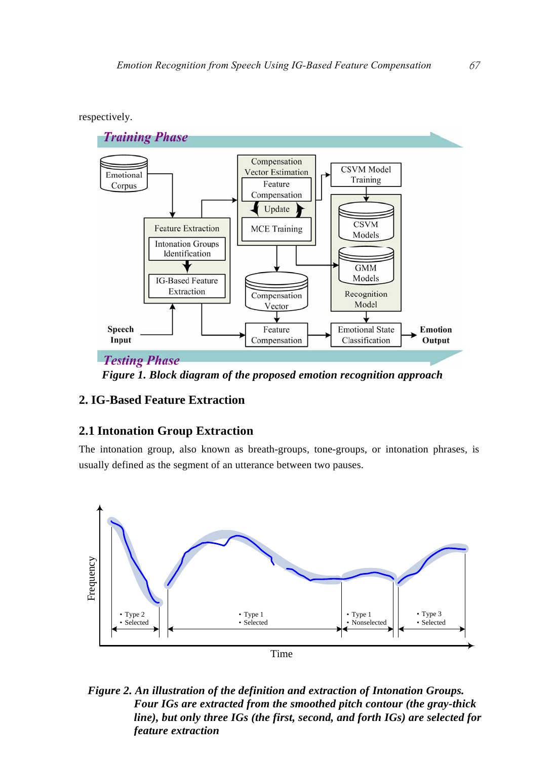



*Figure 1. Block diagram of the proposed emotion recognition approach*

# **2. IG-Based Feature Extraction**

# **2.1 Intonation Group Extraction**

The intonation group, also known as breath-groups, tone-groups, or intonation phrases, is usually defined as the segment of an utterance between two pauses.



*Figure 2. An illustration of the definition and extraction of Intonation Groups. Four IGs are extracted from the smoothed pitch contour (the gray-thick line), but only three IGs (the first, second, and forth IGs) are selected for feature extraction*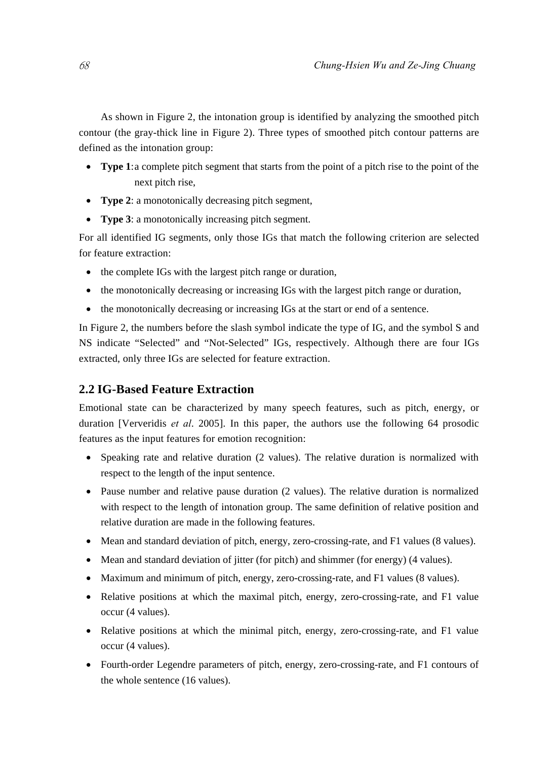As shown in Figure 2, the intonation group is identified by analyzing the smoothed pitch contour (the gray-thick line in Figure 2). Three types of smoothed pitch contour patterns are defined as the intonation group:

- **Type 1**: a complete pitch segment that starts from the point of a pitch rise to the point of the next pitch rise,
- **Type 2**: a monotonically decreasing pitch segment,
- **Type 3**: a monotonically increasing pitch segment.

For all identified IG segments, only those IGs that match the following criterion are selected for feature extraction:

- the complete IGs with the largest pitch range or duration,
- the monotonically decreasing or increasing IGs with the largest pitch range or duration,
- the monotonically decreasing or increasing IGs at the start or end of a sentence.

In Figure 2, the numbers before the slash symbol indicate the type of IG, and the symbol S and NS indicate "Selected" and "Not-Selected" IGs, respectively. Although there are four IGs extracted, only three IGs are selected for feature extraction.

# **2.2 IG-Based Feature Extraction**

Emotional state can be characterized by many speech features, such as pitch, energy, or duration [Ververidis *et al*. 2005]. In this paper, the authors use the following 64 prosodic features as the input features for emotion recognition:

- Speaking rate and relative duration (2 values). The relative duration is normalized with respect to the length of the input sentence.
- Pause number and relative pause duration (2 values). The relative duration is normalized with respect to the length of intonation group. The same definition of relative position and relative duration are made in the following features.
- Mean and standard deviation of pitch, energy, zero-crossing-rate, and F1 values (8 values).
- Mean and standard deviation of jitter (for pitch) and shimmer (for energy) (4 values).
- Maximum and minimum of pitch, energy, zero-crossing-rate, and F1 values (8 values).
- Relative positions at which the maximal pitch, energy, zero-crossing-rate, and F1 value occur (4 values).
- Relative positions at which the minimal pitch, energy, zero-crossing-rate, and F1 value occur (4 values).
- Fourth-order Legendre parameters of pitch, energy, zero-crossing-rate, and F1 contours of the whole sentence (16 values).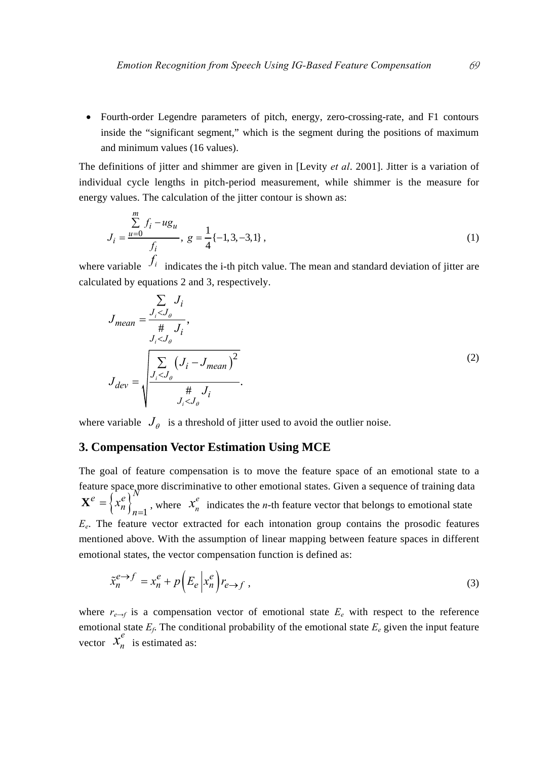• Fourth-order Legendre parameters of pitch, energy, zero-crossing-rate, and F1 contours inside the "significant segment," which is the segment during the positions of maximum and minimum values (16 values).

The definitions of jitter and shimmer are given in [Levity *et al*. 2001]. Jitter is a variation of individual cycle lengths in pitch-period measurement, while shimmer is the measure for energy values. The calculation of the jitter contour is shown as:

$$
J_i = \frac{\sum_{u=0}^{m} f_i - ug_u}{f_i}, \ g = \frac{1}{4} \{-1, 3, -3, 1\}, \tag{1}
$$

where variable  $f_i$  indicates the i-th pitch value. The mean and standard deviation of jitter are calculated by equations 2 and 3, respectively.

$$
J_{mean} = \frac{\sum_{i < J_{\theta}} J_{i}}{\frac{\#}{J_{i} < J_{\theta}} J_{i}},
$$
\n
$$
J_{dev} = \sqrt{\frac{\sum_{j < J_{\theta}} (J_{i} - J_{mean})^{2}}{\frac{\#}{J_{i} < J_{\theta}} J_{i}}}.
$$
\n
$$
(2)
$$

where variable  $J_{\theta}$  is a threshold of jitter used to avoid the outlier noise.

## **3. Compensation Vector Estimation Using MCE**

The goal of feature compensation is to move the feature space of an emotional state to a feature space, more discriminative to other emotional states. Given a sequence of training data  ${\bf X}^e = \left\{ x_n^e \right\}_{n=1}^N$ , where  $x_n^e$  indicates the *n*-th feature vector that belongs to emotional state  $E_e$ . The feature vector extracted for each intonation group contains the prosodic features mentioned above. With the assumption of linear mapping between feature spaces in different emotional states, the vector compensation function is defined as:

$$
\tilde{x}_n^{e \to f} = x_n^e + p \left( E_e \left| x_n^e \right| r_{e \to f} \right),\tag{3}
$$

where  $r_{e\rightarrow f}$  is a compensation vector of emotional state  $E_e$  with respect to the reference emotional state  $E_f$ . The conditional probability of the emotional state  $E_e$  given the input feature vector  $x_n^e$  is estimated as: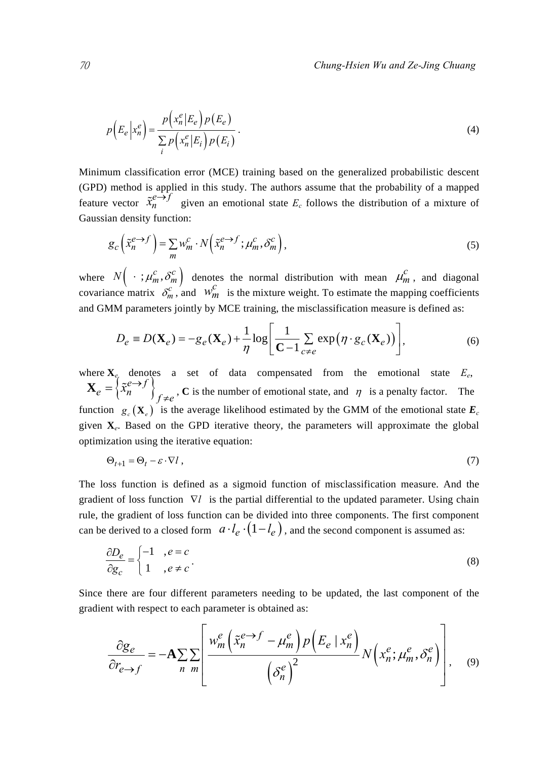$$
p(E_e|x_n^e) = \frac{p(x_n^e|E_e)p(E_e)}{\sum_{i} p(x_n^e|E_i)p(E_i)}.
$$
\n(4)

Minimum classification error (MCE) training based on the generalized probabilistic descent (GPD) method is applied in this study. The authors assume that the probability of a mapped feature vector  $\tilde{x}_n^e \to f$  given an emotional state  $E_c$  follows the distribution of a mixture of Gaussian density function:

$$
g_c\left(\tilde{x}_n^{e\to f}\right) = \sum_m w_m^c \cdot N\left(\tilde{x}_n^{e\to f}; \mu_m^c, \delta_m^c\right),\tag{5}
$$

where  $N \left( \cdot ; \mu_m^c, \delta_m^c \right)$  denotes the normal distribution with mean  $\mu_m^c$ , and diagonal covariance matrix  $\delta_m^c$ , and  $w_m^c$  is the mixture weight. To estimate the mapping coefficients and GMM parameters jointly by MCE training, the misclassification measure is defined as:

$$
D_e \equiv D(\mathbf{X}_e) = -g_e(\mathbf{X}_e) + \frac{1}{\eta} \log \left[ \frac{1}{\mathbf{C} - 1} \sum_{c \neq e} \exp \left( \eta \cdot g_c(\mathbf{X}_e) \right) \right],\tag{6}
$$

where  $X_e$  denotes a set of data compensated from the emotional state  $E_e$ ,  ${\bf X}_e = \left\{ {\tilde x_n^e \to f } \right\}_{f \neq e}$ , **C** is the number of emotional state, and  $\eta$  is a penalty factor. The function  $g_c(\mathbf{X}_e)$  is the average likelihood estimated by the GMM of the emotional state  $\mathbf{E}_c$ given **X***e*. Based on the GPD iterative theory, the parameters will approximate the global optimization using the iterative equation:

$$
\Theta_{t+1} = \Theta_t - \varepsilon \cdot \nabla l \tag{7}
$$

The loss function is defined as a sigmoid function of misclassification measure. And the gradient of loss function ∇*l* is the partial differential to the updated parameter. Using chain rule, the gradient of loss function can be divided into three components. The first component can be derived to a closed form  $\left( a \cdot l_e \cdot (1 - l_e) \right)$ , and the second component is assumed as:

$$
\frac{\partial D_e}{\partial g_c} = \begin{cases} -1, & e = c \\ 1, & e \neq c \end{cases} \tag{8}
$$

Since there are four different parameters needing to be updated, the last component of the gradient with respect to each parameter is obtained as:

$$
\frac{\partial g_e}{\partial r_{e\to f}} = -\mathbf{A} \sum \sum n \frac{m}{m} \left[ \frac{w_m^e \left( \tilde{x}_n^{e\to f} - \mu_m^e \right) p \left( E_e \mid x_n^e \right)}{\left( \delta_n^e \right)^2} N \left( x_n^e; \mu_m^e, \delta_n^e \right) \right], \quad (9)
$$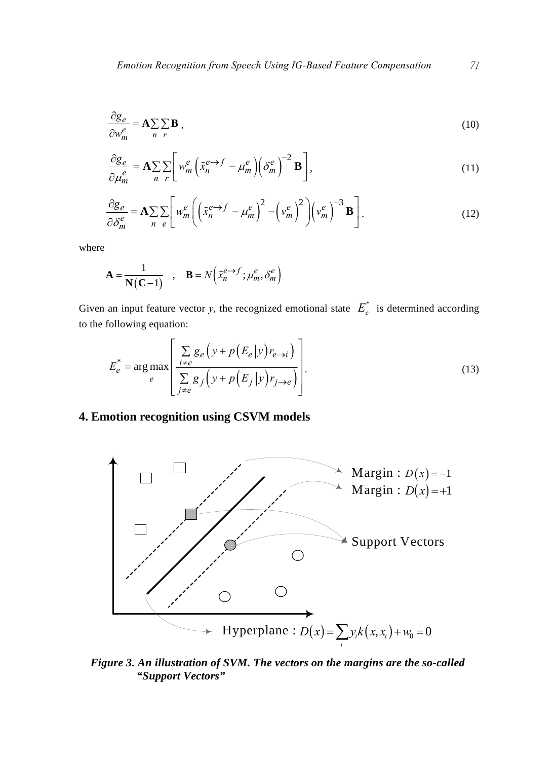$$
\frac{\partial g_e}{\partial w_m^e} = \mathbf{A} \sum_n \sum_n \mathbf{B} ,
$$
\n(10)

$$
\frac{\partial g_e}{\partial \mu_m^e} = \mathbf{A} \sum_n \sum_r \left[ w_m^e \left( \tilde{x}_n^{e \to f} - \mu_m^e \right) \left( \delta_m^e \right)^{-2} \mathbf{B} \right],\tag{11}
$$

$$
\frac{\partial g_e}{\partial \delta_m^e} = \mathbf{A} \sum_n \sum_e \left[ w_m^e \left( \left( \tilde{x}_n^{e \to f} - \mu_m^e \right)^2 - \left( v_m^e \right)^2 \right) \left( v_m^e \right)^{-3} \mathbf{B} \right].
$$
 (12)

where

$$
\mathbf{A} = \frac{1}{\mathbf{N}(\mathbf{C} - 1)} , \quad \mathbf{B} = N \Big( \tilde{x}_n^{e \to f} ; \mu_m^e, \delta_m^e \Big)
$$

Given an input feature vector *y*, the recognized emotional state  $E_e^*$  is determined according to the following equation:

$$
E_e^* = \arg \max_e \left[ \frac{\sum_{i \neq e} g_e \left( y + p \left( E_e | y \right) r_{e \to i} \right)}{\sum_{j \neq e} g_j \left( y + p \left( E_j | y \right) r_{j \to e} \right)} \right].
$$
\n(13)

# **4. Emotion recognition using CSVM models**



*Figure 3. An illustration of SVM. The vectors on the margins are the so-called "Support Vectors"*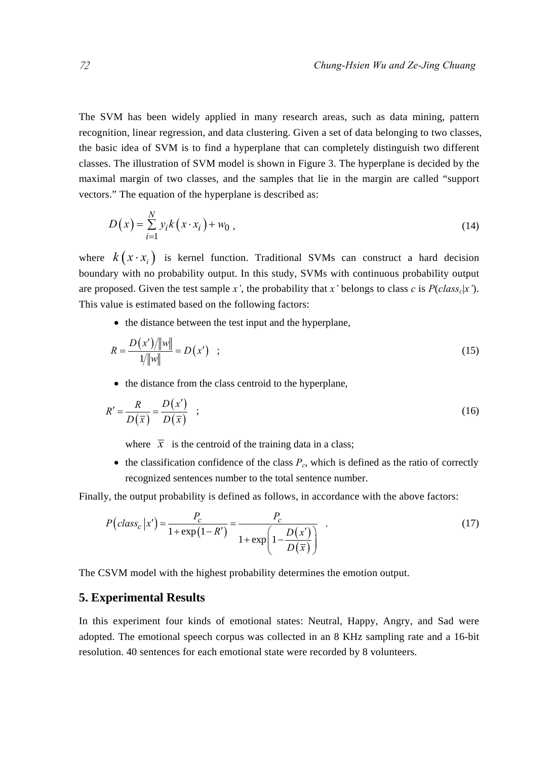The SVM has been widely applied in many research areas, such as data mining, pattern recognition, linear regression, and data clustering. Given a set of data belonging to two classes, the basic idea of SVM is to find a hyperplane that can completely distinguish two different classes. The illustration of SVM model is shown in Figure 3. The hyperplane is decided by the maximal margin of two classes, and the samples that lie in the margin are called "support vectors." The equation of the hyperplane is described as:

$$
D(x) = \sum_{i=1}^{N} y_i k(x \cdot x_i) + w_0,
$$
\n(14)

where  $k(x \cdot x_i)$  is kernel function. Traditional SVMs can construct a hard decision boundary with no probability output. In this study, SVMs with continuous probability output are proposed. Given the test sample *x'*, the probability that *x'* belongs to class *c* is  $P(class_c|x')$ . This value is estimated based on the following factors:

• the distance between the test input and the hyperplane,

$$
R = \frac{D(x')/||w||}{1/||w||} = D(x') \quad ; \tag{15}
$$

• the distance from the class centroid to the hyperplane,

$$
R' = \frac{R}{D(\overline{x})} = \frac{D(x')}{D(\overline{x})} \quad ; \tag{16}
$$

where  $\bar{x}$  is the centroid of the training data in a class;

 $\bullet$  the classification confidence of the class  $P_c$ , which is defined as the ratio of correctly recognized sentences number to the total sentence number.

Finally, the output probability is defined as follows, in accordance with the above factors:

$$
P\left(class_c | x'\right) = \frac{P_c}{1 + \exp\left(1 - R'\right)} = \frac{P_c}{1 + \exp\left(1 - \frac{D(x')}{D(\bar{x})}\right)}\tag{17}
$$

The CSVM model with the highest probability determines the emotion output.

## **5. Experimental Results**

In this experiment four kinds of emotional states: Neutral, Happy, Angry, and Sad were adopted. The emotional speech corpus was collected in an 8 KHz sampling rate and a 16-bit resolution. 40 sentences for each emotional state were recorded by 8 volunteers.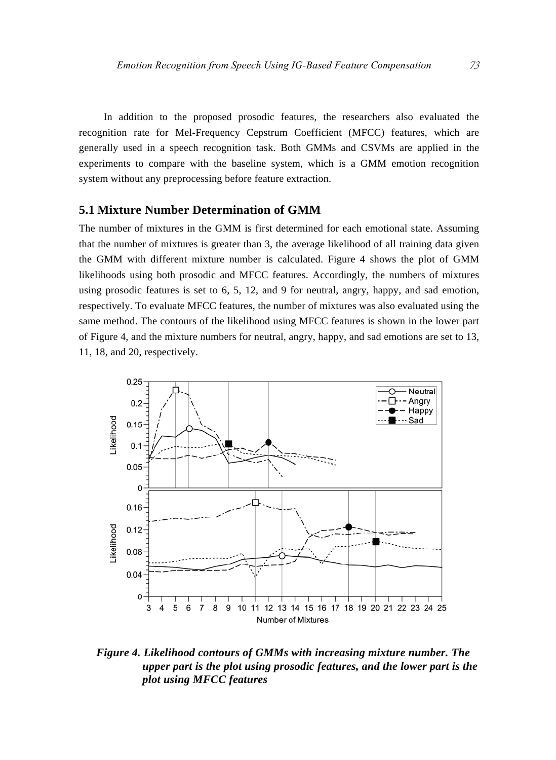In addition to the proposed prosodic features, the researchers also evaluated the recognition rate for Mel-Frequency Cepstrum Coefficient (MFCC) features, which are generally used in a speech recognition task. Both GMMs and CSVMs are applied in the experiments to compare with the baseline system, which is a GMM emotion recognition system without any preprocessing before feature extraction.

## **5.1 Mixture Number Determination of GMM**

The number of mixtures in the GMM is first determined for each emotional state. Assuming that the number of mixtures is greater than 3, the average likelihood of all training data given the GMM with different mixture number is calculated. Figure 4 shows the plot of GMM likelihoods using both prosodic and MFCC features. Accordingly, the numbers of mixtures using prosodic features is set to 6, 5, 12, and 9 for neutral, angry, happy, and sad emotion, respectively. To evaluate MFCC features, the number of mixtures was also evaluated using the same method. The contours of the likelihood using MFCC features is shown in the lower part of Figure 4, and the mixture numbers for neutral, angry, happy, and sad emotions are set to 13, 11, 18, and 20, respectively.



*Figure 4. Likelihood contours of GMMs with increasing mixture number. The upper part is the plot using prosodic features, and the lower part is the plot using MFCC features*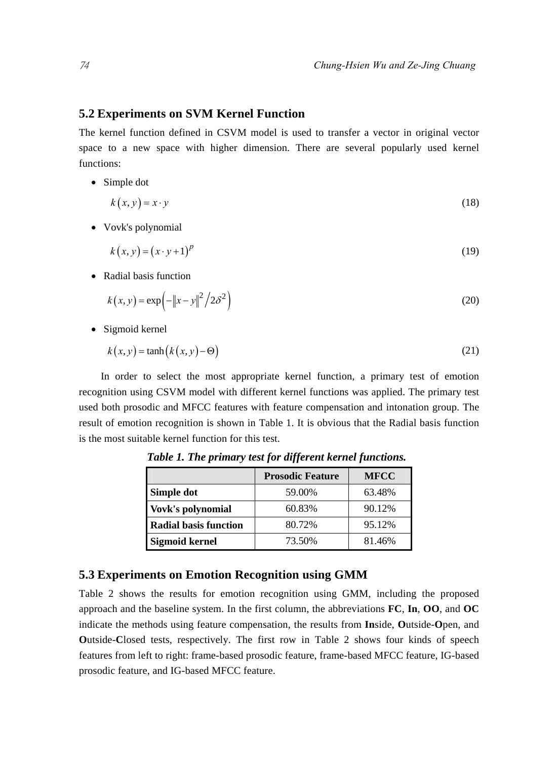## **5.2 Experiments on SVM Kernel Function**

The kernel function defined in CSVM model is used to transfer a vector in original vector space to a new space with higher dimension. There are several popularly used kernel functions:

• Simple dot

$$
k(x, y) = x \cdot y \tag{18}
$$

• Vovk's polynomial

$$
k(x, y) = (x \cdot y + 1)^p \tag{19}
$$

• Radial basis function

$$
k(x, y) = \exp(-\|x - y\|^2 / 2\delta^2)
$$
 (20)

• Sigmoid kernel

$$
k(x, y) = \tanh(k(x, y) - \Theta)
$$
\n(21)

In order to select the most appropriate kernel function, a primary test of emotion recognition using CSVM model with different kernel functions was applied. The primary test used both prosodic and MFCC features with feature compensation and intonation group. The result of emotion recognition is shown in Table 1. It is obvious that the Radial basis function is the most suitable kernel function for this test.

|                              | <b>Prosodic Feature</b> | <b>MFCC</b> |
|------------------------------|-------------------------|-------------|
| Simple dot                   | 59.00%                  | 63.48%      |
| Vovk's polynomial            | 60.83%                  | 90.12%      |
| <b>Radial basis function</b> | 80.72%                  | 95.12%      |
| <b>Sigmoid kernel</b>        | 73.50%                  | 81.46%      |

*Table 1. The primary test for different kernel functions.* 

## **5.3 Experiments on Emotion Recognition using GMM**

Table 2 shows the results for emotion recognition using GMM, including the proposed approach and the baseline system. In the first column, the abbreviations **FC**, **In**, **OO**, and **OC** indicate the methods using feature compensation, the results from **In**side, **O**utside-**O**pen, and **O**utside-**C**losed tests, respectively. The first row in Table 2 shows four kinds of speech features from left to right: frame-based prosodic feature, frame-based MFCC feature, IG-based prosodic feature, and IG-based MFCC feature.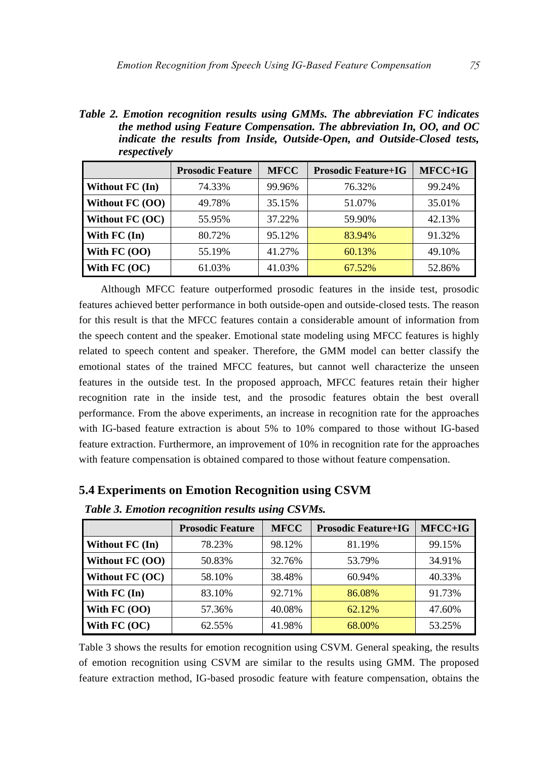*Table 2. Emotion recognition results using GMMs. The abbreviation FC indicates the method using Feature Compensation. The abbreviation In, OO, and OC indicate the results from Inside, Outside-Open, and Outside-Closed tests, respectively* 

|                 | <b>Prosodic Feature</b> | <b>MFCC</b> | <b>Prosodic Feature+IG</b> | MFCC+IG |
|-----------------|-------------------------|-------------|----------------------------|---------|
| Without FC (In) | 74.33%                  | 99.96%      | 76.32%                     | 99.24%  |
| Without FC (OO) | 49.78%                  | 35.15%      | 51.07%                     | 35.01%  |
| Without FC (OC) | 55.95%                  | 37.22%      | 59.90%                     | 42.13%  |
| With FC (In)    | 80.72%                  | 95.12%      | 83.94%                     | 91.32%  |
| With $FC(OO)$   | 55.19%                  | 41.27%      | 60.13%                     | 49.10%  |
| With FC (OC)    | 61.03%                  | 41.03%      | 67.52%                     | 52.86%  |

Although MFCC feature outperformed prosodic features in the inside test, prosodic features achieved better performance in both outside-open and outside-closed tests. The reason for this result is that the MFCC features contain a considerable amount of information from the speech content and the speaker. Emotional state modeling using MFCC features is highly related to speech content and speaker. Therefore, the GMM model can better classify the emotional states of the trained MFCC features, but cannot well characterize the unseen features in the outside test. In the proposed approach, MFCC features retain their higher recognition rate in the inside test, and the prosodic features obtain the best overall performance. From the above experiments, an increase in recognition rate for the approaches with IG-based feature extraction is about 5% to 10% compared to those without IG-based feature extraction. Furthermore, an improvement of 10% in recognition rate for the approaches with feature compensation is obtained compared to those without feature compensation.

|                 | <b>Prosodic Feature</b> | <b>MFCC</b> | <b>Prosodic Feature+IG</b> | MFCC+IG |
|-----------------|-------------------------|-------------|----------------------------|---------|
| Without FC (In) | 78.23%                  | 98.12%      | 81.19%                     | 99.15%  |
| Without FC (OO) | 50.83%                  | 32.76%      | 53.79%                     | 34.91%  |
| Without FC (OC) | 58.10%                  | 38.48%      | 60.94%                     | 40.33%  |
| With $FC (In)$  | 83.10%                  | 92.71%      | 86.08%                     | 91.73%  |
| With $FC(OO)$   | 57.36%                  | 40.08%      | 62.12%                     | 47.60%  |
| With $FC (OC)$  | 62.55%                  | 41.98%      | 68.00%                     | 53.25%  |

**5.4 Experiments on Emotion Recognition using CSVM** 

*Table 3. Emotion recognition results using CSVMs.* 

Table 3 shows the results for emotion recognition using CSVM. General speaking, the results of emotion recognition using CSVM are similar to the results using GMM. The proposed feature extraction method, IG-based prosodic feature with feature compensation, obtains the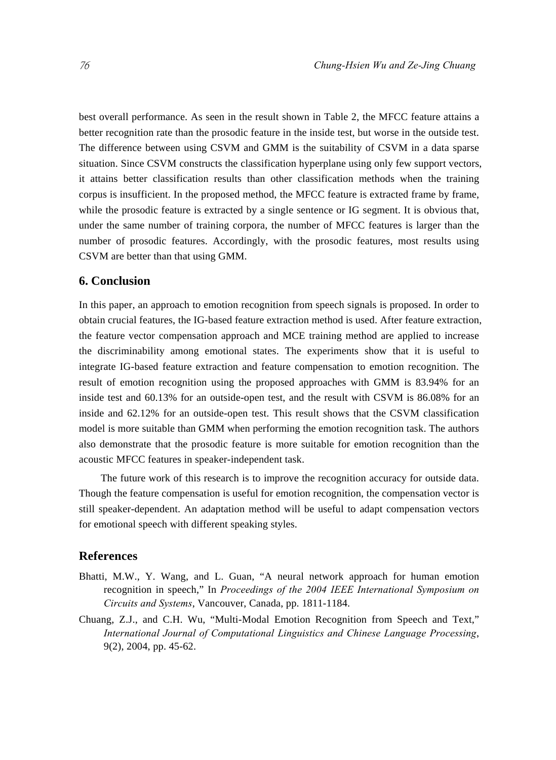best overall performance. As seen in the result shown in Table 2, the MFCC feature attains a better recognition rate than the prosodic feature in the inside test, but worse in the outside test. The difference between using CSVM and GMM is the suitability of CSVM in a data sparse situation. Since CSVM constructs the classification hyperplane using only few support vectors, it attains better classification results than other classification methods when the training corpus is insufficient. In the proposed method, the MFCC feature is extracted frame by frame, while the prosodic feature is extracted by a single sentence or IG segment. It is obvious that, under the same number of training corpora, the number of MFCC features is larger than the number of prosodic features. Accordingly, with the prosodic features, most results using CSVM are better than that using GMM.

### **6. Conclusion**

In this paper, an approach to emotion recognition from speech signals is proposed. In order to obtain crucial features, the IG-based feature extraction method is used. After feature extraction, the feature vector compensation approach and MCE training method are applied to increase the discriminability among emotional states. The experiments show that it is useful to integrate IG-based feature extraction and feature compensation to emotion recognition. The result of emotion recognition using the proposed approaches with GMM is 83.94% for an inside test and 60.13% for an outside-open test, and the result with CSVM is 86.08% for an inside and 62.12% for an outside-open test. This result shows that the CSVM classification model is more suitable than GMM when performing the emotion recognition task. The authors also demonstrate that the prosodic feature is more suitable for emotion recognition than the acoustic MFCC features in speaker-independent task.

The future work of this research is to improve the recognition accuracy for outside data. Though the feature compensation is useful for emotion recognition, the compensation vector is still speaker-dependent. An adaptation method will be useful to adapt compensation vectors for emotional speech with different speaking styles.

## **References**

- Bhatti, M.W., Y. Wang, and L. Guan, "A neural network approach for human emotion recognition in speech," In *Proceedings of the 2004 IEEE International Symposium on Circuits and Systems*, Vancouver, Canada, pp. 1811-1184.
- Chuang, Z.J., and C.H. Wu, "Multi-Modal Emotion Recognition from Speech and Text," *International Journal of Computational Linguistics and Chinese Language Processing*, 9(2), 2004, pp. 45-62.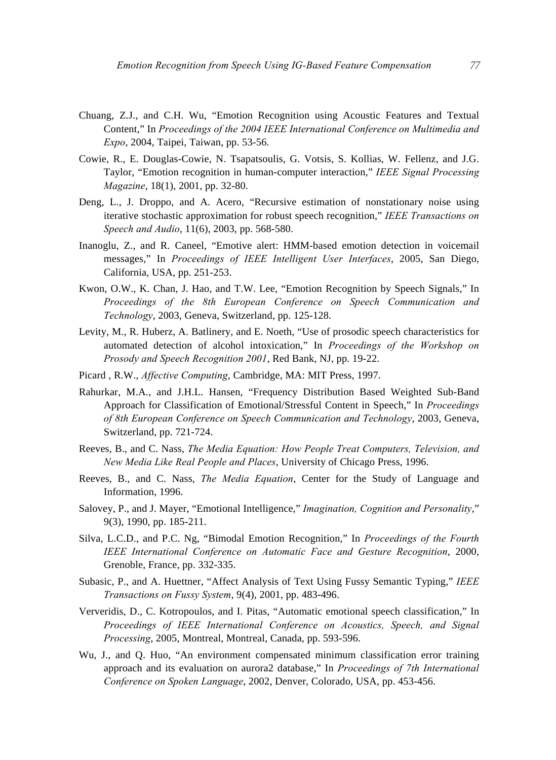- Chuang, Z.J., and C.H. Wu, "Emotion Recognition using Acoustic Features and Textual Content," In *Proceedings of the 2004 IEEE International Conference on Multimedia and Expo*, 2004, Taipei, Taiwan, pp. 53-56.
- Cowie, R., E. Douglas-Cowie, N. Tsapatsoulis, G. Votsis, S. Kollias, W. Fellenz, and J.G. Taylor, "Emotion recognition in human-computer interaction," *IEEE Signal Processing Magazine*, 18(1), 2001, pp. 32-80.
- Deng, L., J. Droppo, and A. Acero, "Recursive estimation of nonstationary noise using iterative stochastic approximation for robust speech recognition," *IEEE Transactions on Speech and Audio*, 11(6), 2003, pp. 568-580.
- Inanoglu, Z., and R. Caneel, "Emotive alert: HMM-based emotion detection in voicemail messages," In *Proceedings of IEEE Intelligent User Interfaces*, 2005, San Diego, California, USA, pp. 251-253.
- Kwon, O.W., K. Chan, J. Hao, and T.W. Lee, "Emotion Recognition by Speech Signals," In *Proceedings of the 8th European Conference on Speech Communication and Technology*, 2003, Geneva, Switzerland, pp. 125-128.
- Levity, M., R. Huberz, A. Batlinery, and E. Noeth, "Use of prosodic speech characteristics for automated detection of alcohol intoxication," In *Proceedings of the Workshop on Prosody and Speech Recognition 2001*, Red Bank, NJ, pp. 19-22.
- Picard , R.W., *Affective Computing*, Cambridge, MA: MIT Press, 1997.
- Rahurkar, M.A., and J.H.L. Hansen, "Frequency Distribution Based Weighted Sub-Band Approach for Classification of Emotional/Stressful Content in Speech," In *Proceedings of 8th European Conference on Speech Communication and Technology*, 2003, Geneva, Switzerland, pp. 721-724.
- Reeves, B., and C. Nass, *The Media Equation: How People Treat Computers, Television, and New Media Like Real People and Places*, University of Chicago Press, 1996.
- Reeves, B., and C. Nass, *The Media Equation*, Center for the Study of Language and Information, 1996.
- Salovey, P., and J. Mayer, "Emotional Intelligence," *Imagination, Cognition and Personality*," 9(3), 1990, pp. 185-211.
- Silva, L.C.D., and P.C. Ng, "Bimodal Emotion Recognition," In *Proceedings of the Fourth IEEE International Conference on Automatic Face and Gesture Recognition*, 2000, Grenoble, France, pp. 332-335.
- Subasic, P., and A. Huettner, "Affect Analysis of Text Using Fussy Semantic Typing," *IEEE Transactions on Fussy System*, 9(4), 2001, pp. 483-496.
- Ververidis, D., C. Kotropoulos, and I. Pitas, "Automatic emotional speech classification," In *Proceedings of IEEE International Conference on Acoustics, Speech, and Signal Processing*, 2005, Montreal, Montreal, Canada, pp. 593-596.
- Wu, J., and Q. Huo, "An environment compensated minimum classification error training approach and its evaluation on aurora2 database," In *Proceedings of 7th International Conference on Spoken Language*, 2002, Denver, Colorado, USA, pp. 453-456.